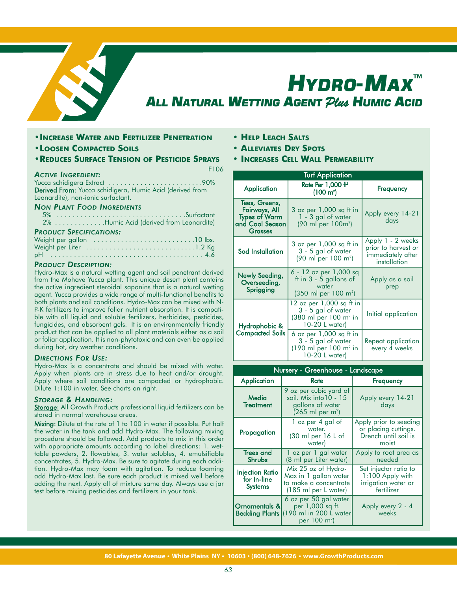

# *HYDRO-MAX ™ ALL NATURAL WETTING AGENT Plus HUMIC ACID*

- **•INCREASE WATER AND FERTILIZER PENETRATION**
- **•LOOSEN COMPACTED SOILS**
- **•REDUCES SURFACE TENSION OF PESTICIDE SPRAYS**

F106

## *ACTIVE INGREDIENT:*

Yucca schidigera Extract . . . . . . . . . . . . . . . . . . . . . . . .90% Derived From: Yucca schidigera, Humic Acid (derived from Leonardite), non-ionic surfactant.

#### *NON PLANT FOOD INGREDIENTS*

|                                     |  |  | 2% Humic Acid (derived from Leonardite) |
|-------------------------------------|--|--|-----------------------------------------|
| and the contract of the contract of |  |  |                                         |

## *PRODUCT SPECIFICATIONS:*

## *PRODUCT DESCRIPTION:*

Hydro-Max is a natural wetting agent and soil penetrant derived from the Mohave Yucca plant. This unique desert plant contains the active ingredient steroidal saponins that is a natural wetting agent. Yucca provides a wide range of multi-functional benefits to both plants and soil conditions. Hydro-Max can be mixed with N-P-K fertilizers to improve foliar nutrient absorption. It is compatible with all liquid and soluble fertilizers, herbicides, pesticides, fungicides, and absorbent gels. It is an environmentally friendly product that can be applied to all plant materials either as a soil or foliar application. It is non-phytotoxic and can even be applied during hot, dry weather conditions.

## *DIRECTIONS FOR USE:*

Hydro-Max is a concentrate and should be mixed with water. Apply when plants are in stress due to heat and/or drought. Apply where soil conditions are compacted or hydrophobic. Dilute 1:100 in water. See charts on right.

## *STORAGE & HANDLING:*

Storage: All Growth Products professional liquid fertilizers can be stored in normal warehouse areas.

Mixing: Dilute at the rate of 1 to 100 in water if possible. Put half the water in the tank and add Hydro-Max. The following mixing procedure should be followed. Add products to mix in this order with appropriate amounts according to label directions: 1. wettable powders, 2. flowables, 3. water solubles, 4. emulsifiable concentrates, 5. Hydro-Max. Be sure to agitate during each addition. Hydro-Max may foam with agitation. To reduce foaming add Hydro-Max last. Be sure each product is mixed well before adding the next. Apply all of mixture same day. Always use a jar test before mixing pesticides and fertilizers in your tank.

- **• HELP LEACH SALTS**
- **• ALLEVIATES DRY SPOTS**
- **• INCREASES CELL WALL PERMEABILITY**

| <b>Turf Application</b>                                                              |                                                                                                                      |                                                                               |  |  |  |  |  |  |  |
|--------------------------------------------------------------------------------------|----------------------------------------------------------------------------------------------------------------------|-------------------------------------------------------------------------------|--|--|--|--|--|--|--|
| Application                                                                          | <b>Rate Per 1,000 ff</b><br>$(100 \text{ m}^2)$                                                                      | Frequency                                                                     |  |  |  |  |  |  |  |
| Tees, Greens,<br>Fairways, All<br>Types of Warm<br>and Cool Season<br><b>Grasses</b> | $3$ oz per $1,000$ sq ft in<br>1 - 3 gal of water<br>$(90 \text{ ml per } 100 \text{ m}^2)$                          | Apply every 14-21<br>days                                                     |  |  |  |  |  |  |  |
| Sod Installation                                                                     | 3 oz per 1,000 sq ft in<br>3 - 5 gal of water<br>$(90 \text{ ml per } 100 \text{ m}^2)$                              | Apply 1 - 2 weeks<br>prior to harvest or<br>immediately after<br>installation |  |  |  |  |  |  |  |
| Newly Seeding,<br>Overseeding,<br>Sprigging                                          | 6 - 12 oz per 1,000 sq<br>ft in $3 - 5$ gallons of<br>water<br>$(350 \text{ ml per } 100 \text{ m}^2)$               | Apply as a soil<br>prep                                                       |  |  |  |  |  |  |  |
| Hydrophobic &                                                                        | 12 oz per 1,000 sq ft in<br>3 - 5 gal of water<br>(380 ml per 100 m <sup>2</sup> in<br>10-20 L water)                | Initial application                                                           |  |  |  |  |  |  |  |
| <b>Compacted Soils</b>                                                               | 6 oz per 1,000 sq ft in<br>3 - 5 gal of water<br>$(190 \text{ ml per } 100 \text{ m}^2 \text{ in}$<br>10-20 L water) | Repeat application<br>every 4 weeks                                           |  |  |  |  |  |  |  |

| Nursery - Greenhouse - Landscape                        |                                                                                                    |                                                                                 |  |  |  |  |  |  |  |  |
|---------------------------------------------------------|----------------------------------------------------------------------------------------------------|---------------------------------------------------------------------------------|--|--|--|--|--|--|--|--|
| <b>Application</b>                                      | Rate                                                                                               | Frequency                                                                       |  |  |  |  |  |  |  |  |
| Media<br>Treatment                                      | 9 oz per cubic yard of<br>soil. Mix into 10 - 15<br>gallons of water<br>$(265 \text{ ml per m}^2)$ | Apply every 14-21<br>days                                                       |  |  |  |  |  |  |  |  |
| Propagation                                             | 1 oz per 4 gal of<br>water.<br>$(30 \text{ ml per } 16 \text{ L of}$<br>water)                     | Apply prior to seeding<br>or placing cuttings.<br>Drench until soil is<br>moist |  |  |  |  |  |  |  |  |
| <b>Trees</b> and<br>Shrubs                              | 1 oz per 1 gal water<br>(8 ml per Liter water)                                                     | Apply to root area as<br>needed                                                 |  |  |  |  |  |  |  |  |
| <b>Injection Ratio</b><br>for In-line<br><b>Systems</b> | Mix 25 oz of Hydro-<br>Max in 1 gallon water<br>to make a concentrate<br>(185 ml per L water)      | Set injector ratio to<br>1:100 Apply with<br>irrigation water or<br>fertilizer  |  |  |  |  |  |  |  |  |
| Ornamentals &<br><b>Bedding Plants</b>                  | 6 oz per 50 gal water<br>per 1,000 sq ft.<br>(190 ml in 200 L water<br>per 100 m <sup>2</sup> )    | Apply every 2 - 4<br>weeks                                                      |  |  |  |  |  |  |  |  |